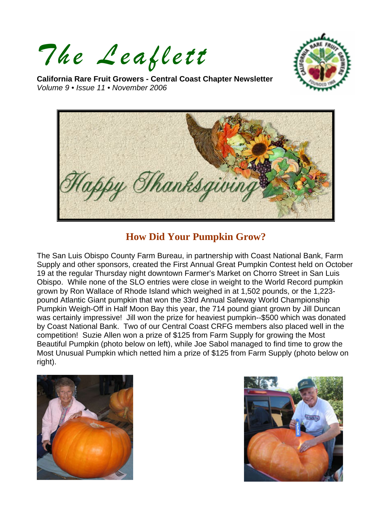*The Leaflett*



**California Rare Fruit Growers - Central Coast Chapter Newsletter**  *Volume 9 • Issue 11 • November 2006* 



## **How Did Your Pumpkin Grow?**

The San Luis Obispo County Farm Bureau, in partnership with Coast National Bank, Farm Supply and other sponsors, created the First Annual Great Pumpkin Contest held on October 19 at the regular Thursday night downtown Farmer's Market on Chorro Street in San Luis Obispo. While none of the SLO entries were close in weight to the World Record pumpkin grown by Ron Wallace of Rhode Island which weighed in at 1,502 pounds, or the 1,223 pound Atlantic Giant pumpkin that won the 33rd Annual Safeway World Championship Pumpkin Weigh-Off in Half Moon Bay this year, the 714 pound giant grown by Jill Duncan was certainly impressive! Jill won the prize for heaviest pumpkin--\$500 which was donated by Coast National Bank. Two of our Central Coast CRFG members also placed well in the competition! Suzie Allen won a prize of \$125 from Farm Supply for growing the Most Beautiful Pumpkin (photo below on left), while Joe Sabol managed to find time to grow the Most Unusual Pumpkin which netted him a prize of \$125 from Farm Supply (photo below on right).



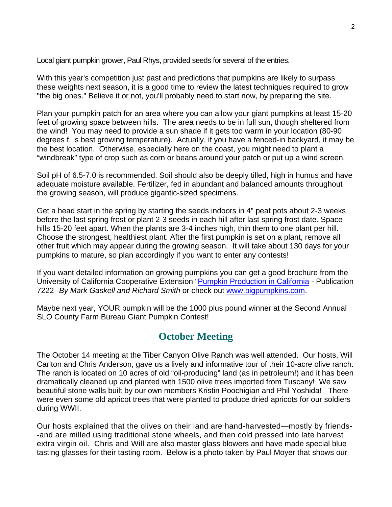Local giant pumpkin grower, Paul Rhys, provided seeds for several of the entries.

With this year's competition just past and predictions that pumpkins are likely to surpass these weights next season, it is a good time to review the latest techniques required to grow "the big ones." Believe it or not, you'll probably need to start now, by preparing the site.

Plan your pumpkin patch for an area where you can allow your giant pumpkins at least 15-20 feet of growing space between hills. The area needs to be in full sun, though sheltered from the wind! You may need to provide a sun shade if it gets too warm in your location (80-90 degrees f. is best growing temperature). Actually, if you have a fenced-in backyard, it may be the best location. Otherwise, especially here on the coast, you might need to plant a "windbreak" type of crop such as corn or beans around your patch or put up a wind screen.

Soil pH of 6.5-7.0 is recommended. Soil should also be deeply tilled, high in humus and have adequate moisture available. Fertilizer, fed in abundant and balanced amounts throughout the growing season, will produce gigantic-sized specimens.

Get a head start in the spring by starting the seeds indoors in 4" peat pots about 2-3 weeks before the last spring frost or plant 2-3 seeds in each hill after last spring frost date. Space hills 15-20 feet apart. When the plants are 3-4 inches high, thin them to one plant per hill. Choose the strongest, healthiest plant. After the first pumpkin is set on a plant, remove all other fruit which may appear during the growing season. It will take about 130 days for your pumpkins to mature, so plan accordingly if you want to enter any contests!

If you want detailed information on growing pumpkins you can get a good brochure from the University of California Cooperative Extension "[Pumpkin Production in California](http://anrcatalog.ucdavis.edu/pdf/7222.pdf) - Publication 7222--*By Mark Gaskell and Richard Smith* or check out [www.bigpumpkins.com](http://www.bigpumpkins.com/).

Maybe next year, YOUR pumpkin will be the 1000 plus pound winner at the Second Annual SLO County Farm Bureau Giant Pumpkin Contest!

## **October Meeting**

The October 14 meeting at the Tiber Canyon Olive Ranch was well attended. Our hosts, Will Carlton and Chris Anderson, gave us a lively and informative tour of their 10-acre olive ranch. The ranch is located on 10 acres of old "oil-producing" land (as in petroleum!) and it has been dramatically cleaned up and planted with 1500 olive trees imported from Tuscany! We saw beautiful stone walls built by our own members Kristin Poochigian and Phil Yoshida! There were even some old apricot trees that were planted to produce dried apricots for our soldiers during WWII.

Our hosts explained that the olives on their land are hand-harvested—mostly by friends- -and are milled using traditional stone wheels, and then cold pressed into late harvest extra virgin oil. Chris and Will are also master glass blowers and have made special blue tasting glasses for their tasting room. Below is a photo taken by Paul Moyer that shows our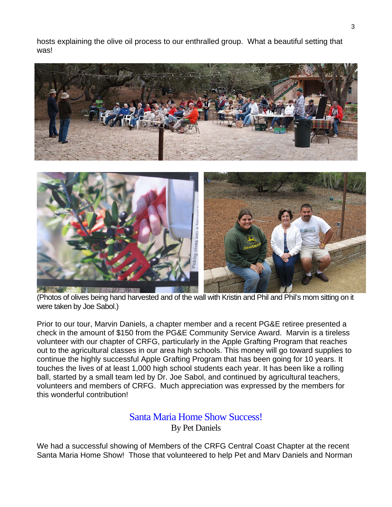hosts explaining the olive oil process to our enthralled group. What a beautiful setting that was!



(Photos of olives being hand harvested and of the wall with Kristin and Phil and Phil's mom sitting on it were taken by Joe Sabol.)

Prior to our tour, Marvin Daniels, a chapter member and a recent PG&E retiree presented a check in the amount of \$150 from the PG&E Community Service Award. Marvin is a tireless volunteer with our chapter of CRFG, particularly in the Apple Grafting Program that reaches out to the agricultural classes in our area high schools. This money will go toward supplies to continue the highly successful Apple Grafting Program that has been going for 10 years. It touches the lives of at least 1,000 high school students each year. It has been like a rolling ball, started by a small team led by Dr. Joe Sabol, and continued by agricultural teachers, volunteers and members of CRFG. Much appreciation was expressed by the members for this wonderful contribution!

### Santa Maria Home Show Success! By Pet Daniels

We had a successful showing of Members of the CRFG Central Coast Chapter at the recent Santa Maria Home Show! Those that volunteered to help Pet and Marv Daniels and Norman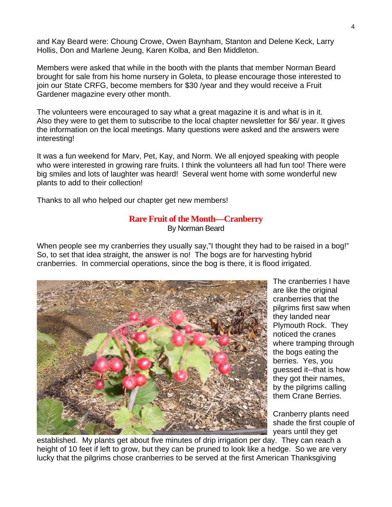and Kay Beard were: Choung Crowe, Owen Baynham, Stanton and Delene Keck, Larry Hollis, Don and Marlene Jeung, Karen Kolba, and Ben Middleton.

Members were asked that while in the booth with the plants that member Norman Beard brought for sale from his home nursery in Goleta, to please encourage those interested to join our State CRFG, become members for \$30 /year and they would receive a Fruit Gardener magazine every other month.

The volunteers were encouraged to say what a great magazine it is and what is in it. Also they were to get them to subscribe to the local chapter newsletter for \$6/ year. It gives the information on the local meetings. Many questions were asked and the answers were interesting!

It was a fun weekend for Marv, Pet, Kay, and Norm. We all enjoyed speaking with people who were interested in growing rare fruits. I think the volunteers all had fun too! There were big smiles and lots of laughter was heard! Several went home with some wonderful new plants to add to their collection!

Thanks to all who helped our chapter get new members!

#### **Rare Fruit of the Month—Cranberry**

By Norman Beard

When people see my cranberries they usually say,"I thought they had to be raised in a bog!" So, to set that idea straight, the answer is no! The bogs are for harvesting hybrid cranberries. In commercial operations, since the bog is there, it is flood irrigated.



The cranberries I have are like the original cranberries that the pilgrims first saw when they landed near Plymouth Rock. They noticed the cranes where tramping through the bogs eating the berries. Yes, you guessed it--that is how they got their names, by the pilgrims calling them Crane Berries.

Cranberry plants need shade the first couple of years until they get

established. My plants get about five minutes of drip irrigation per day. They can reach a height of 10 feet if left to grow, but they can be pruned to look like a hedge. So we are very lucky that the pilgrims chose cranberries to be served at the first American Thanksgiving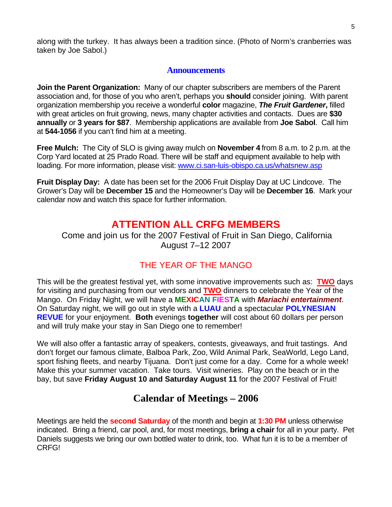along with the turkey. It has always been a tradition since. (Photo of Norm's cranberries was taken by Joe Sabol.)

### **Announcements**

**Join the Parent Organization:** Many of our chapter subscribers are members of the Parent association and, for those of you who aren't, perhaps you **should** consider joining. With parent organization membership you receive a wonderful **color** magazine, *The Fruit Gardener***,** filled with great articles on fruit growing, news, many chapter activities and contacts. Dues are **\$30 annually** or **3 years for \$87**. Membership applications are available from **Joe Sabol**. Call him at **544-1056** if you can't find him at a meeting.

**Free Mulch:** The City of SLO is giving away mulch on **November 4** from 8 a.m. to 2 p.m. at the Corp Yard located at 25 Prado Road. There will be staff and equipment available to help with loading. For more information, please visit: [www.ci.san-luis-obispo.ca.us/whatsnew.asp](http://www.ci.san-luis-obispo.ca.us/whatsnew.asp)

**Fruit Display Day:** A date has been set for the 2006 Fruit Display Day at UC Lindcove. The Grower's Day will be **December 15** and the Homeowner's Day will be **December 16**. Mark your calendar now and watch this space for further information.

# **ATTENTION ALL CRFG MEMBERS**

Come and join us for the 2007 Festival of Fruit in San Diego, California August 7–12 2007

## THE YEAR OF THE MANGO

This will be the greatest festival yet, with some innovative improvements such as: **TWO** days for visiting and purchasing from our vendors and **TWO** dinners to celebrate the Year of the Mango. On Friday Night, we will have a **MEXICAN FIESTA** with *Mariachi entertainment*. On Saturday night, we will go out in style with a **LUAU** and a spectacular **POLYNESIAN REVUE** for your enjoyment. **Both** evenings **together** will cost about 60 dollars per person and will truly make your stay in San Diego one to remember!

We will also offer a fantastic array of speakers, contests, giveaways, and fruit tastings. And don't forget our famous climate, Balboa Park, Zoo, Wild Animal Park, SeaWorld, Lego Land, sport fishing fleets, and nearby Tijuana. Don't just come for a day. Come for a whole week! Make this your summer vacation. Take tours. Visit wineries. Play on the beach or in the bay, but save **Friday August 10 and Saturday August 11** for the 2007 Festival of Fruit!

# **Calendar of Meetings – 2006**

Meetings are held the **second Saturday** of the month and begin at **1:30 PM** unless otherwise indicated. Bring a friend, car pool, and, for most meetings, **bring a chair** for all in your party. Pet Daniels suggests we bring our own bottled water to drink, too. What fun it is to be a member of CRFG!